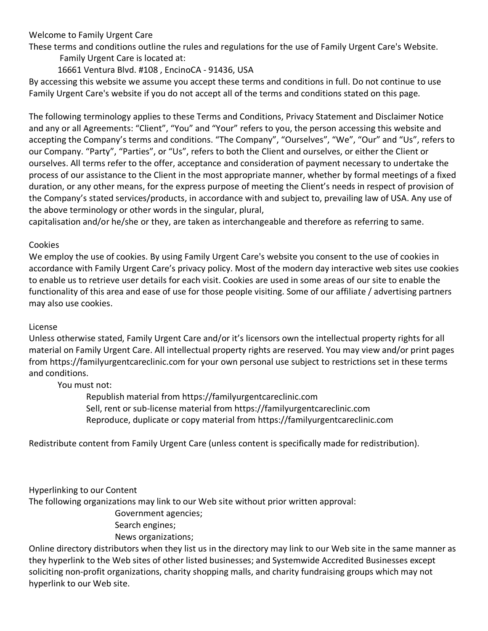# Welcome to Family Urgent Care

These terms and conditions outline the rules and regulations for the use of Family Urgent Care's Website.

Family Urgent Care is located at:

16661 Ventura Blvd. #108 , EncinoCA - 91436, USA

By accessing this website we assume you accept these terms and conditions in full. Do not continue to use Family Urgent Care's website if you do not accept all of the terms and conditions stated on this page.

The following terminology applies to these Terms and Conditions, Privacy Statement and Disclaimer Notice and any or all Agreements: "Client", "You" and "Your" refers to you, the person accessing this website and accepting the Company's terms and conditions. "The Company", "Ourselves", "We", "Our" and "Us", refers to our Company. "Party", "Parties", or "Us", refers to both the Client and ourselves, or either the Client or ourselves. All terms refer to the offer, acceptance and consideration of payment necessary to undertake the process of our assistance to the Client in the most appropriate manner, whether by formal meetings of a fixed duration, or any other means, for the express purpose of meeting the Client's needs in respect of provision of the Company's stated services/products, in accordance with and subject to, prevailing law of USA. Any use of the above terminology or other words in the singular, plural,

capitalisation and/or he/she or they, are taken as interchangeable and therefore as referring to same.

### Cookies

We employ the use of cookies. By using Family Urgent Care's website you consent to the use of cookies in accordance with Family Urgent Care's privacy policy. Most of the modern day interactive web sites use cookies to enable us to retrieve user details for each visit. Cookies are used in some areas of our site to enable the functionality of this area and ease of use for those people visiting. Some of our affiliate / advertising partners may also use cookies.

### License

Unless otherwise stated, Family Urgent Care and/or it's licensors own the intellectual property rights for all material on Family Urgent Care. All intellectual property rights are reserved. You may view and/or print pages from https://familyurgentcareclinic.com for your own personal use subject to restrictions set in these terms and conditions.

### You must not:

Republish material from https://familyurgentcareclinic.com Sell, rent or sub-license material from https://familyurgentcareclinic.com Reproduce, duplicate or copy material from https://familyurgentcareclinic.com

Redistribute content from Family Urgent Care (unless content is specifically made for redistribution).

Hyperlinking to our Content

The following organizations may link to our Web site without prior written approval:

Government agencies;

Search engines;

News organizations;

Online directory distributors when they list us in the directory may link to our Web site in the same manner as they hyperlink to the Web sites of other listed businesses; and Systemwide Accredited Businesses except soliciting non-profit organizations, charity shopping malls, and charity fundraising groups which may not hyperlink to our Web site.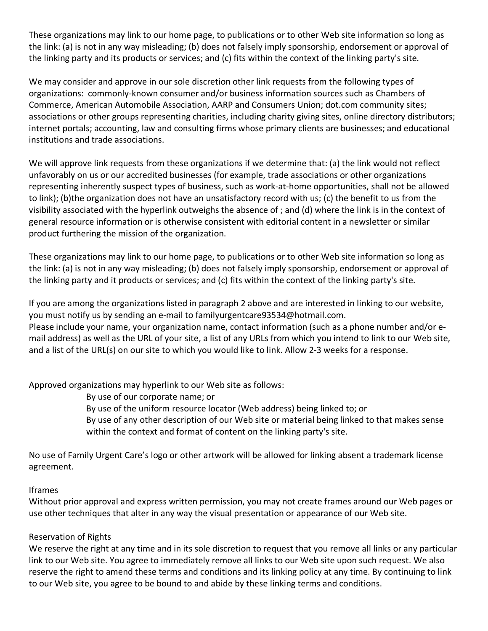These organizations may link to our home page, to publications or to other Web site information so long as the link: (a) is not in any way misleading; (b) does not falsely imply sponsorship, endorsement or approval of the linking party and its products or services; and (c) fits within the context of the linking party's site.

We may consider and approve in our sole discretion other link requests from the following types of organizations: commonly-known consumer and/or business information sources such as Chambers of Commerce, American Automobile Association, AARP and Consumers Union; dot.com community sites; associations or other groups representing charities, including charity giving sites, online directory distributors; internet portals; accounting, law and consulting firms whose primary clients are businesses; and educational institutions and trade associations.

We will approve link requests from these organizations if we determine that: (a) the link would not reflect unfavorably on us or our accredited businesses (for example, trade associations or other organizations representing inherently suspect types of business, such as work-at-home opportunities, shall not be allowed to link); (b)the organization does not have an unsatisfactory record with us; (c) the benefit to us from the visibility associated with the hyperlink outweighs the absence of ; and (d) where the link is in the context of general resource information or is otherwise consistent with editorial content in a newsletter or similar product furthering the mission of the organization.

These organizations may link to our home page, to publications or to other Web site information so long as the link: (a) is not in any way misleading; (b) does not falsely imply sponsorship, endorsement or approval of the linking party and it products or services; and (c) fits within the context of the linking party's site.

If you are among the organizations listed in paragraph 2 above and are interested in linking to our website, you must notify us by sending an e-mail to familyurgentcare93534@hotmail.com. Please include your name, your organization name, contact information (such as a phone number and/or email address) as well as the URL of your site, a list of any URLs from which you intend to link to our Web site, and a list of the URL(s) on our site to which you would like to link. Allow 2-3 weeks for a response.

Approved organizations may hyperlink to our Web site as follows:

By use of our corporate name; or

By use of the uniform resource locator (Web address) being linked to; or

By use of any other description of our Web site or material being linked to that makes sense within the context and format of content on the linking party's site.

No use of Family Urgent Care's logo or other artwork will be allowed for linking absent a trademark license agreement.

### Iframes

Without prior approval and express written permission, you may not create frames around our Web pages or use other techniques that alter in any way the visual presentation or appearance of our Web site.

### Reservation of Rights

We reserve the right at any time and in its sole discretion to request that you remove all links or any particular link to our Web site. You agree to immediately remove all links to our Web site upon such request. We also reserve the right to amend these terms and conditions and its linking policy at any time. By continuing to link to our Web site, you agree to be bound to and abide by these linking terms and conditions.